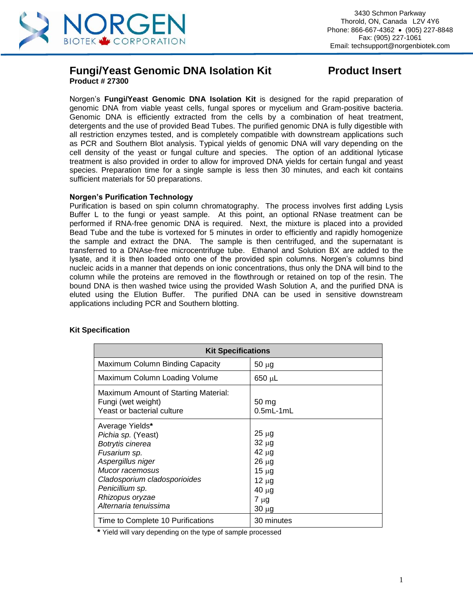

### **Fungi/Yeast Genomic DNA Isolation Kit Product Insert Product # 27300**

Norgen's **Fungi/Yeast Genomic DNA Isolation Kit** is designed for the rapid preparation of genomic DNA from viable yeast cells, fungal spores or mycelium and Gram-positive bacteria. Genomic DNA is efficiently extracted from the cells by a combination of heat treatment, detergents and the use of provided Bead Tubes. The purified genomic DNA is fully digestible with all restriction enzymes tested, and is completely compatible with downstream applications such as PCR and Southern Blot analysis. Typical yields of genomic DNA will vary depending on the cell density of the yeast or fungal culture and species. The option of an additional lyticase treatment is also provided in order to allow for improved DNA yields for certain fungal and yeast species. Preparation time for a single sample is less then 30 minutes, and each kit contains sufficient materials for 50 preparations.

#### **Norgen's Purification Technology**

Purification is based on spin column chromatography. The process involves first adding Lysis Buffer L to the fungi or yeast sample. At this point, an optional RNase treatment can be performed if RNA-free genomic DNA is required. Next, the mixture is placed into a provided Bead Tube and the tube is vortexed for 5 minutes in order to efficiently and rapidly homogenize the sample and extract the DNA. The sample is then centrifuged, and the supernatant is transferred to a DNAse-free microcentrifuge tube. Ethanol and Solution BX are added to the lysate, and it is then loaded onto one of the provided spin columns. Norgen's columns bind nucleic acids in a manner that depends on ionic concentrations, thus only the DNA will bind to the column while the proteins are removed in the flowthrough or retained on top of the resin. The bound DNA is then washed twice using the provided Wash Solution A, and the purified DNA is eluted using the Elution Buffer. The purified DNA can be used in sensitive downstream applications including PCR and Southern blotting.

| <b>Kit Specifications</b>                                                                                                                                                                                        |                                                                                                                 |  |  |
|------------------------------------------------------------------------------------------------------------------------------------------------------------------------------------------------------------------|-----------------------------------------------------------------------------------------------------------------|--|--|
| Maximum Column Binding Capacity                                                                                                                                                                                  | $50 \mu g$                                                                                                      |  |  |
| Maximum Column Loading Volume                                                                                                                                                                                    | 650 µL                                                                                                          |  |  |
| Maximum Amount of Starting Material:<br>Fungi (wet weight)<br>Yeast or bacterial culture                                                                                                                         | 50 <sub>mg</sub><br>$0.5mL-1mL$                                                                                 |  |  |
| Average Yields*<br>Pichia sp. (Yeast)<br>Botrytis cinerea<br>Fusarium sp.<br>Aspergillus niger<br>Mucor racemosus<br>Cladosporium cladosporioides<br>Penicillium sp.<br>Rhizopus oryzae<br>Alternaria tenuissima | $25 \mu g$<br>$32 \mu g$<br>$42 \mu g$<br>$26 \mu g$<br>$15 \mu g$<br>$12 \mu g$<br>40 µg<br>7 µg<br>$30 \mu g$ |  |  |
| Time to Complete 10 Purifications                                                                                                                                                                                | 30 minutes                                                                                                      |  |  |

#### **Kit Specification**

**\*** Yield will vary depending on the type of sample processed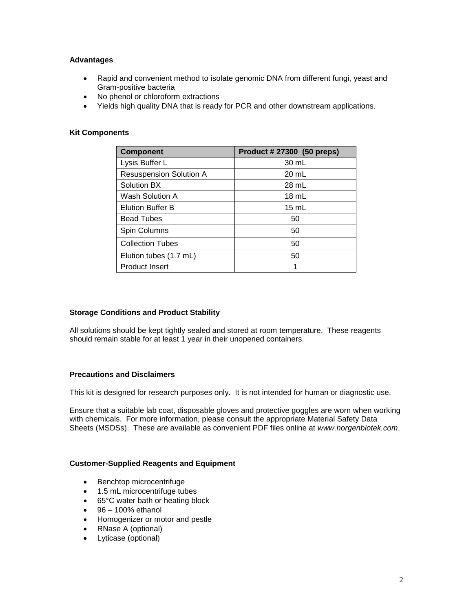### **Advantages**

- Rapid and convenient method to isolate genomic DNA from different fungi, yeast and Gram-positive bacteria
- No phenol or chloroform extractions
- Yields high quality DNA that is ready for PCR and other downstream applications.

#### **Kit Components**

| <b>Component</b>               | Product # 27300 (50 preps) |
|--------------------------------|----------------------------|
| Lysis Buffer L                 | 30 mL                      |
| <b>Resuspension Solution A</b> | 20 mL                      |
| Solution BX                    | 28 mL                      |
| Wash Solution A                | $18 \text{ mL}$            |
| <b>Elution Buffer B</b>        | $15 \text{ mL}$            |
| <b>Bead Tubes</b>              | 50                         |
| Spin Columns                   | 50                         |
| <b>Collection Tubes</b>        | 50                         |
| Elution tubes (1.7 mL)         | 50                         |
| <b>Product Insert</b>          |                            |

#### **Storage Conditions and Product Stability**

All solutions should be kept tightly sealed and stored at room temperature. These reagents should remain stable for at least 1 year in their unopened containers.

#### **Precautions and Disclaimers**

This kit is designed for research purposes only. It is not intended for human or diagnostic use.

Ensure that a suitable lab coat, disposable gloves and protective goggles are worn when working with chemicals. For more information, please consult the appropriate Material Safety Data Sheets (MSDSs). These are available as convenient PDF files online at *www.norgenbiotek.com*.

#### **Customer-Supplied Reagents and Equipment**

- Benchtop microcentrifuge
- 1.5 mL microcentrifuge tubes
- 65°C water bath or heating block
- $\bullet$  96 100% ethanol
- Homogenizer or motor and pestle
- RNase A (optional)
- Lyticase (optional)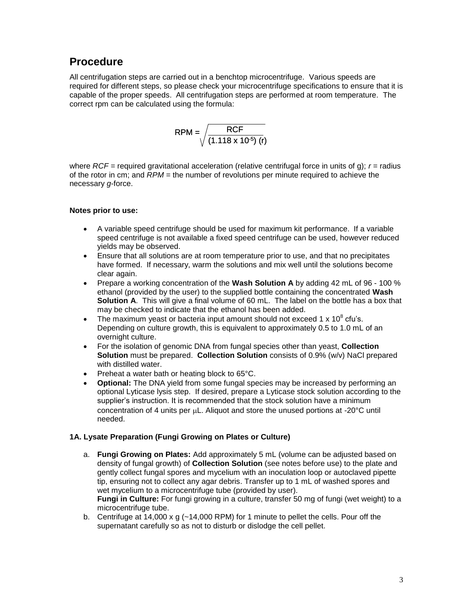## **Procedure**

All centrifugation steps are carried out in a benchtop microcentrifuge. Various speeds are required for different steps, so please check your microcentrifuge specifications to ensure that it is capable of the proper speeds. All centrifugation steps are performed at room temperature. The correct rpm can be calculated using the formula:

$$
RPM = \sqrt{\frac{RCF}{(1.118 \times 10^{-5}) (r)}}
$$

where *RCF =* required gravitational acceleration (relative centrifugal force in units of g); *r* = radius of the rotor in cm; and *RPM* = the number of revolutions per minute required to achieve the necessary *g*-force.

### **Notes prior to use:**

- A variable speed centrifuge should be used for maximum kit performance. If a variable speed centrifuge is not available a fixed speed centrifuge can be used, however reduced yields may be observed.
- Ensure that all solutions are at room temperature prior to use, and that no precipitates have formed. If necessary, warm the solutions and mix well until the solutions become clear again.
- Prepare a working concentration of the **Wash Solution A** by adding 42 mL of 96 100 % ethanol (provided by the user) to the supplied bottle containing the concentrated **Wash Solution A**. This will give a final volume of 60 mL. The label on the bottle has a box that may be checked to indicate that the ethanol has been added.
- The maximum yeast or bacteria input amount should not exceed 1 x 10 $^8$  cfu's. Depending on culture growth, this is equivalent to approximately 0.5 to 1.0 mL of an overnight culture.
- For the isolation of genomic DNA from fungal species other than yeast, **Collection Solution** must be prepared. **Collection Solution** consists of 0.9% (w/v) NaCl prepared with distilled water.
- Preheat a water bath or heating block to 65°C.
- **Optional:** The DNA yield from some fungal species may be increased by performing an optional Lyticase lysis step. If desired, prepare a Lyticase stock solution according to the supplier's instruction. It is recommended that the stock solution have a minimum concentration of 4 units per  $\mu$ L. Aliquot and store the unused portions at -20 $\degree$ C until needed.

### **1A. Lysate Preparation (Fungi Growing on Plates or Culture)**

a. **Fungi Growing on Plates:** Add approximately 5 mL (volume can be adjusted based on density of fungal growth) of **Collection Solution** (see notes before use) to the plate and gently collect fungal spores and mycelium with an inoculation loop or autoclaved pipette tip, ensuring not to collect any agar debris. Transfer up to 1 mL of washed spores and wet mycelium to a microcentrifuge tube (provided by user).

**Fungi in Culture:** For fungi growing in a culture, transfer 50 mg of fungi (wet weight) to a microcentrifuge tube.

b. Centrifuge at 14,000 x g (~14,000 RPM) for 1 minute to pellet the cells. Pour off the supernatant carefully so as not to disturb or dislodge the cell pellet.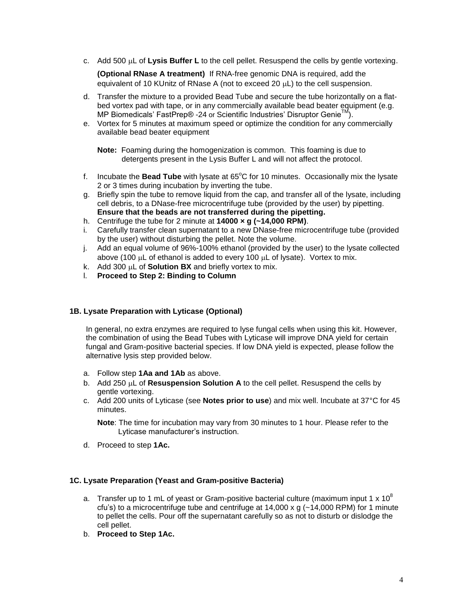c. Add 500  $\mu$ L of Lysis Buffer L to the cell pellet. Resuspend the cells by gentle vortexing.

**(Optional RNase A treatment)** If RNA-free genomic DNA is required, add the equivalent of 10 KUnitz of RNase A (not to exceed 20  $\mu$ L) to the cell suspension.

- d. Transfer the mixture to a provided Bead Tube and secure the tube horizontally on a flatbed vortex pad with tape, or in any commercially available bead beater equipment (e.g. MP Biomedicals' FastPrep® -24 or Scientific Industries' Disruptor Genie™).
- e. Vortex for 5 minutes at maximum speed or optimize the condition for any commercially available bead beater equipment

**Note:** Foaming during the homogenization is common. This foaming is due to detergents present in the Lysis Buffer L and will not affect the protocol.

- f. Incubate the **Bead Tube** with lysate at 65<sup>°</sup>C for 10 minutes. Occasionally mix the lysate 2 or 3 times during incubation by inverting the tube.
- g. Briefly spin the tube to remove liquid from the cap, and transfer all of the lysate, including cell debris, to a DNase-free microcentrifuge tube (provided by the user) by pipetting. **Ensure that the beads are not transferred during the pipetting.**
- h. Centrifuge the tube for 2 minute at **14000 × g (~14,000 RPM)**.
- i. Carefully transfer clean supernatant to a new DNase-free microcentrifuge tube (provided by the user) without disturbing the pellet. Note the volume.
- j. Add an equal volume of 96%-100% ethanol (provided by the user) to the lysate collected above (100  $\mu$ L of ethanol is added to every 100  $\mu$ L of lysate). Vortex to mix.
- k. Add 300  $\mu$ L of **Solution BX** and briefly vortex to mix.
- l. **Proceed to Step 2: Binding to Column**

#### **1B. Lysate Preparation with Lyticase (Optional)**

In general, no extra enzymes are required to lyse fungal cells when using this kit. However, the combination of using the Bead Tubes with Lyticase will improve DNA yield for certain fungal and Gram-positive bacterial species. If low DNA yield is expected, please follow the alternative lysis step provided below.

- a. Follow step **1Aa and 1Ab** as above.
- b. Add 250  $\mu$ L of **Resuspension Solution A** to the cell pellet. Resuspend the cells by gentle vortexing.
- c. Add 200 units of Lyticase (see **Notes prior to use**) and mix well. Incubate at 37°C for 45 minutes.

**Note**: The time for incubation may vary from 30 minutes to 1 hour. Please refer to the Lyticase manufacturer's instruction.

d. Proceed to step **1Ac.**

#### **1C. Lysate Preparation (Yeast and Gram-positive Bacteria)**

- a. Transfer up to 1 mL of yeast or Gram-positive bacterial culture (maximum input 1 x  $10^8$ cfu's) to a microcentrifuge tube and centrifuge at  $14,000 \times g$  ( $\sim$ 14,000 RPM) for 1 minute to pellet the cells. Pour off the supernatant carefully so as not to disturb or dislodge the cell pellet.
- b. **Proceed to Step 1Ac.**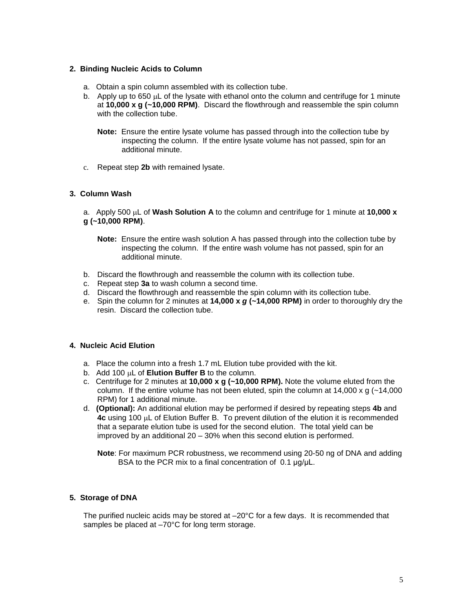#### **2. Binding Nucleic Acids to Column**

- a. Obtain a spin column assembled with its collection tube.
- b. Apply up to 650  $\mu$ L of the lysate with ethanol onto the column and centrifuge for 1 minute at **10,000 x g (~10,000 RPM)**. Discard the flowthrough and reassemble the spin column with the collection tube.
	- **Note:** Ensure the entire lysate volume has passed through into the collection tube by inspecting the column. If the entire lysate volume has not passed, spin for an additional minute.
- c. Repeat step **2b** with remained lysate.

### **3. Column Wash**

a. Apply 500  $\mu$ L of **Wash Solution A** to the column and centrifuge for 1 minute at 10,000 x **g (~10,000 RPM)**.

- **Note:** Ensure the entire wash solution A has passed through into the collection tube by inspecting the column. If the entire wash volume has not passed, spin for an additional minute.
- b. Discard the flowthrough and reassemble the column with its collection tube.
- c. Repeat step **3a** to wash column a second time.
- d. Discard the flowthrough and reassemble the spin column with its collection tube.
- e. Spin the column for 2 minutes at **14,000 x** *g* **(~14,000 RPM)** in order to thoroughly dry the resin. Discard the collection tube.

#### **4. Nucleic Acid Elution**

- a. Place the column into a fresh 1.7 mL Elution tube provided with the kit.
- b. Add 100  $\mu$ L of **Elution Buffer B** to the column.
- c. Centrifuge for 2 minutes at **10,000 x g (~10,000 RPM).** Note the volume eluted from the column. If the entire volume has not been eluted, spin the column at  $14,000 \times g$  ( $\sim$ 14,000 RPM) for 1 additional minute.
- d. **(Optional):** An additional elution may be performed if desired by repeating steps **4b** and 4c using 100  $\mu$ L of Elution Buffer B. To prevent dilution of the elution it is recommended that a separate elution tube is used for the second elution. The total yield can be improved by an additional 20 – 30% when this second elution is performed.

**Note**: For maximum PCR robustness, we recommend using 20-50 ng of DNA and adding BSA to the PCR mix to a final concentration of 0.1 μg/μL.

#### **5. Storage of DNA**

The purified nucleic acids may be stored at –20°C for a few days. It is recommended that samples be placed at  $-70^{\circ}$ C for long term storage.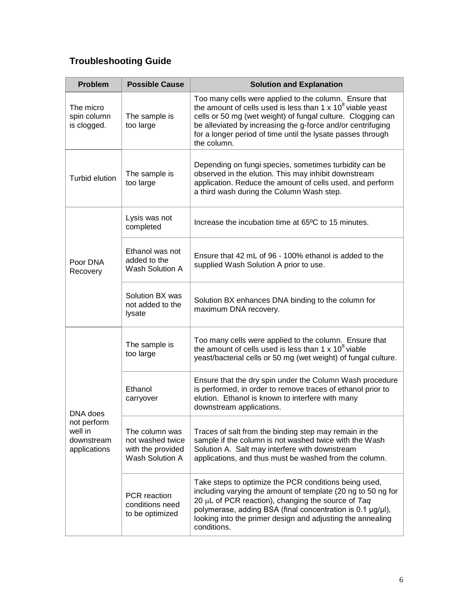# **Troubleshooting Guide**

| <b>Problem</b>                                                   | <b>Possible Cause</b>                                                      | <b>Solution and Explanation</b>                                                                                                                                                                                                                                                                                                          |
|------------------------------------------------------------------|----------------------------------------------------------------------------|------------------------------------------------------------------------------------------------------------------------------------------------------------------------------------------------------------------------------------------------------------------------------------------------------------------------------------------|
| The micro<br>spin column<br>is clogged.                          | The sample is<br>too large                                                 | Too many cells were applied to the column. Ensure that<br>the amount of cells used is less than $1 \times 10^8$ viable yeast<br>cells or 50 mg (wet weight) of fungal culture. Clogging can<br>be alleviated by increasing the g-force and/or centrifuging<br>for a longer period of time until the lysate passes through<br>the column. |
| Turbid elution                                                   | The sample is<br>too large                                                 | Depending on fungi species, sometimes turbidity can be<br>observed in the elution. This may inhibit downstream<br>application. Reduce the amount of cells used, and perform<br>a third wash during the Column Wash step.                                                                                                                 |
| Poor DNA<br>Recovery                                             | Lysis was not<br>completed                                                 | Increase the incubation time at 65 <sup>o</sup> C to 15 minutes.                                                                                                                                                                                                                                                                         |
|                                                                  | Ethanol was not<br>added to the<br>Wash Solution A                         | Ensure that 42 mL of 96 - 100% ethanol is added to the<br>supplied Wash Solution A prior to use.                                                                                                                                                                                                                                         |
|                                                                  | Solution BX was<br>not added to the<br>lysate                              | Solution BX enhances DNA binding to the column for<br>maximum DNA recovery.                                                                                                                                                                                                                                                              |
| DNA does<br>not perform<br>well in<br>downstream<br>applications | The sample is<br>too large                                                 | Too many cells were applied to the column. Ensure that<br>the amount of cells used is less than $1 \times 10^8$ viable<br>yeast/bacterial cells or 50 mg (wet weight) of fungal culture.                                                                                                                                                 |
|                                                                  | Ethanol<br>carryover                                                       | Ensure that the dry spin under the Column Wash procedure<br>is performed, in order to remove traces of ethanol prior to<br>elution. Ethanol is known to interfere with many<br>downstream applications.                                                                                                                                  |
|                                                                  | The column was<br>not washed twice<br>with the provided<br>Wash Solution A | Traces of salt from the binding step may remain in the<br>sample if the column is not washed twice with the Wash<br>Solution A. Salt may interfere with downstream<br>applications, and thus must be washed from the column.                                                                                                             |
|                                                                  | PCR reaction<br>conditions need<br>to be optimized                         | Take steps to optimize the PCR conditions being used,<br>including varying the amount of template (20 ng to 50 ng for<br>20 $\mu$ L of PCR reaction), changing the source of Taq<br>polymerase, adding BSA (final concentration is 0.1 µg/µl),<br>looking into the primer design and adjusting the annealing<br>conditions.              |